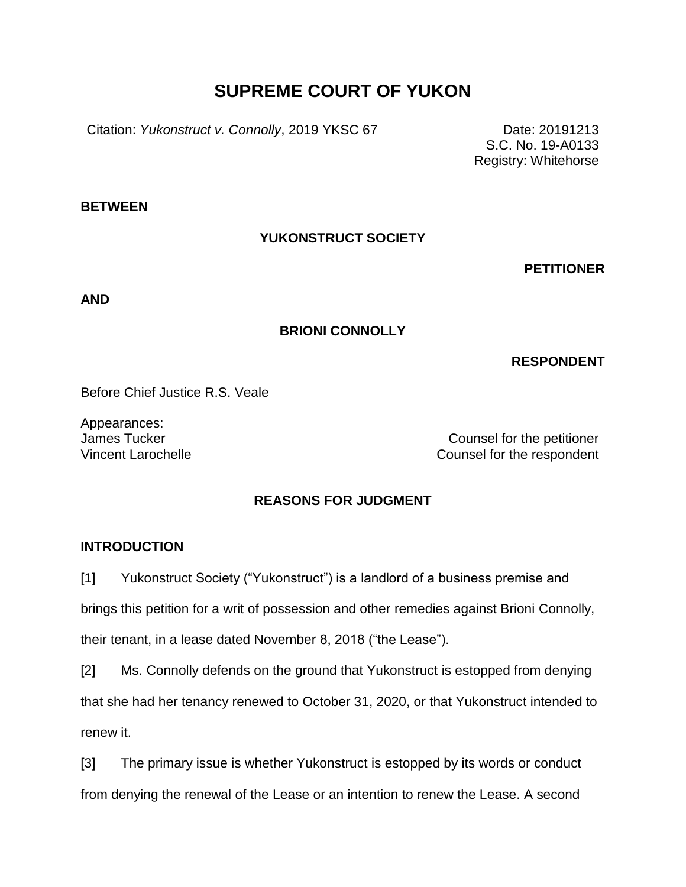# **SUPREME COURT OF YUKON**

Citation: *Yukonstruct v. Connolly*, 2019 YKSC 67 Date: 20191213

S.C. No. 19-A0133 Registry: Whitehorse

**BETWEEN**

## **YUKONSTRUCT SOCIETY**

**PETITIONER**

**AND**

## **BRIONI CONNOLLY**

## **RESPONDENT**

Before Chief Justice R.S. Veale

Appearances:

James Tucker Counsel for the petitioner Vincent Larochelle Counsel for the respondent

## **REASONS FOR JUDGMENT**

### **INTRODUCTION**

[1] Yukonstruct Society ("Yukonstruct") is a landlord of a business premise and

brings this petition for a writ of possession and other remedies against Brioni Connolly,

their tenant, in a lease dated November 8, 2018 ("the Lease").

[2] Ms. Connolly defends on the ground that Yukonstruct is estopped from denying

that she had her tenancy renewed to October 31, 2020, or that Yukonstruct intended to renew it.

[3] The primary issue is whether Yukonstruct is estopped by its words or conduct from denying the renewal of the Lease or an intention to renew the Lease. A second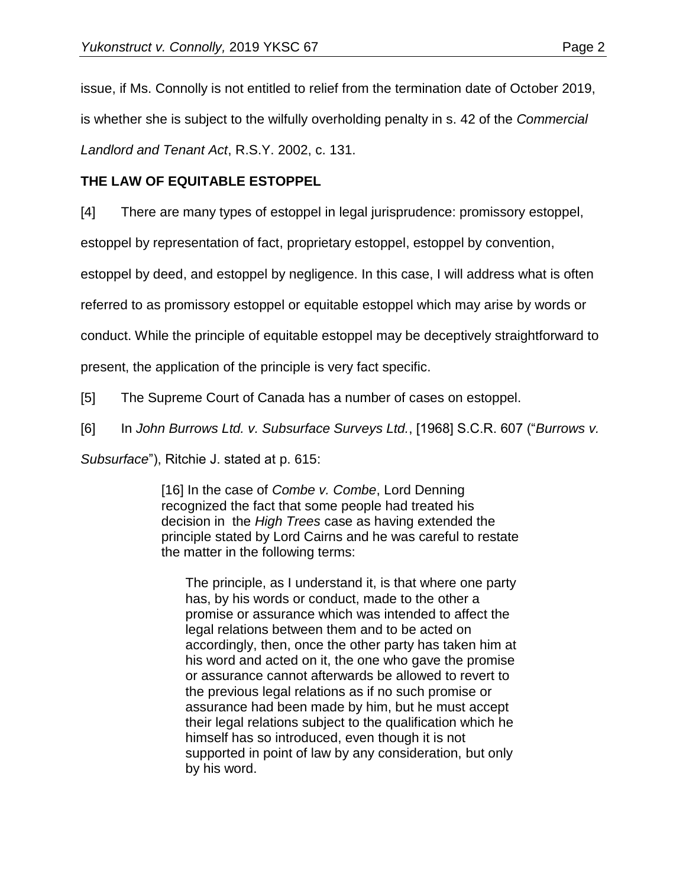issue, if Ms. Connolly is not entitled to relief from the termination date of October 2019,

is whether she is subject to the wilfully overholding penalty in s. 42 of the *Commercial* 

*Landlord and Tenant Act*, R.S.Y. 2002, c. 131.

## **THE LAW OF EQUITABLE ESTOPPEL**

[4] There are many types of estoppel in legal jurisprudence: promissory estoppel,

estoppel by representation of fact, proprietary estoppel, estoppel by convention,

estoppel by deed, and estoppel by negligence. In this case, I will address what is often

referred to as promissory estoppel or equitable estoppel which may arise by words or

conduct. While the principle of equitable estoppel may be deceptively straightforward to

present, the application of the principle is very fact specific.

[5] The Supreme Court of Canada has a number of cases on estoppel.

[6] In *John Burrows Ltd. v. Subsurface Surveys Ltd.*, [1968] S.C.R. 607 ("*Burrows v.* 

*Subsurface*"), Ritchie J. stated at p. 615:

[16] In the case of *Combe v. Combe*, Lord Denning recognized the fact that some people had treated his decision in the *High Trees* case as having extended the principle stated by Lord Cairns and he was careful to restate the matter in the following terms:

The principle, as I understand it, is that where one party has, by his words or conduct, made to the other a promise or assurance which was intended to affect the legal relations between them and to be acted on accordingly, then, once the other party has taken him at his word and acted on it, the one who gave the promise or assurance cannot afterwards be allowed to revert to the previous legal relations as if no such promise or assurance had been made by him, but he must accept their legal relations subject to the qualification which he himself has so introduced, even though it is not supported in point of law by any consideration, but only by his word.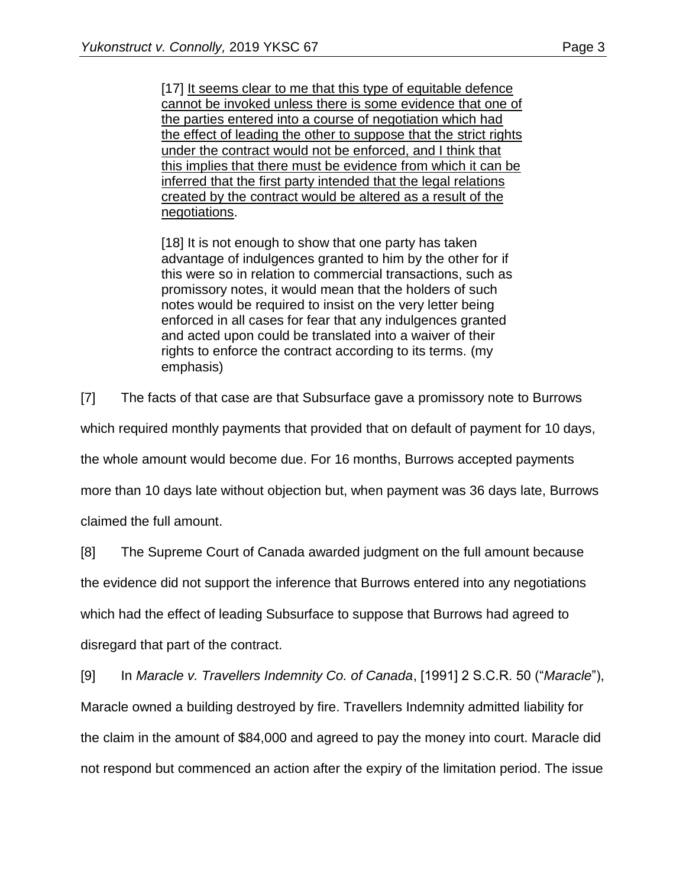[17] It seems clear to me that this type of equitable defence cannot be invoked unless there is some evidence that one of the parties entered into a course of negotiation which had the effect of leading the other to suppose that the strict rights under the contract would not be enforced, and I think that this implies that there must be evidence from which it can be inferred that the first party intended that the legal relations created by the contract would be altered as a result of the negotiations.

[18] It is not enough to show that one party has taken advantage of indulgences granted to him by the other for if this were so in relation to commercial transactions, such as promissory notes, it would mean that the holders of such notes would be required to insist on the very letter being enforced in all cases for fear that any indulgences granted and acted upon could be translated into a waiver of their rights to enforce the contract according to its terms. (my emphasis)

[7] The facts of that case are that Subsurface gave a promissory note to Burrows

which required monthly payments that provided that on default of payment for 10 days,

the whole amount would become due. For 16 months, Burrows accepted payments

more than 10 days late without objection but, when payment was 36 days late, Burrows

claimed the full amount.

[8] The Supreme Court of Canada awarded judgment on the full amount because

the evidence did not support the inference that Burrows entered into any negotiations

which had the effect of leading Subsurface to suppose that Burrows had agreed to disregard that part of the contract.

[9] In *Maracle v. Travellers Indemnity Co. of Canada*, [1991] 2 S.C.R. 50 ("*Maracle*"), Maracle owned a building destroyed by fire. Travellers Indemnity admitted liability for the claim in the amount of \$84,000 and agreed to pay the money into court. Maracle did not respond but commenced an action after the expiry of the limitation period. The issue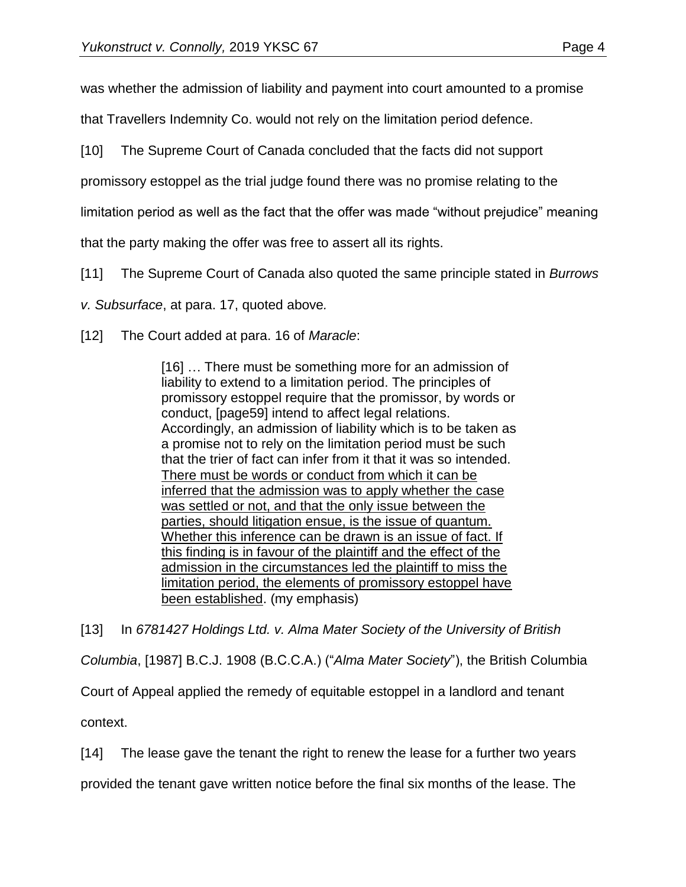was whether the admission of liability and payment into court amounted to a promise

that Travellers Indemnity Co. would not rely on the limitation period defence.

[10] The Supreme Court of Canada concluded that the facts did not support

promissory estoppel as the trial judge found there was no promise relating to the

limitation period as well as the fact that the offer was made "without prejudice" meaning

that the party making the offer was free to assert all its rights.

[11] The Supreme Court of Canada also quoted the same principle stated in *Burrows*

*v. Subsurface*, at para. 17, quoted above*.*

[12] The Court added at para. 16 of *Maracle*:

[16] … There must be something more for an admission of liability to extend to a limitation period. The principles of promissory estoppel require that the promissor, by words or conduct, [page59] intend to affect legal relations. Accordingly, an admission of liability which is to be taken as a promise not to rely on the limitation period must be such that the trier of fact can infer from it that it was so intended. There must be words or conduct from which it can be inferred that the admission was to apply whether the case was settled or not, and that the only issue between the parties, should litigation ensue, is the issue of quantum. Whether this inference can be drawn is an issue of fact. If this finding is in favour of the plaintiff and the effect of the admission in the circumstances led the plaintiff to miss the limitation period, the elements of promissory estoppel have been established. (my emphasis)

[13] In *6781427 Holdings Ltd. v. Alma Mater Society of the University of British Columbia*, [1987] B.C.J. 1908 (B.C.C.A.) ("*Alma Mater Society*"), the British Columbia Court of Appeal applied the remedy of equitable estoppel in a landlord and tenant context.

[14] The lease gave the tenant the right to renew the lease for a further two years

provided the tenant gave written notice before the final six months of the lease. The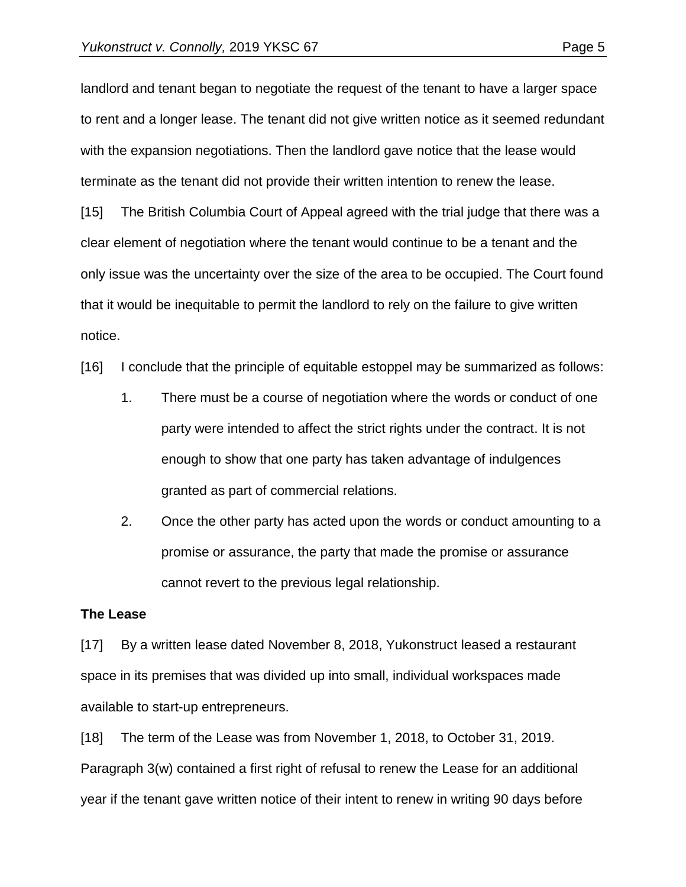landlord and tenant began to negotiate the request of the tenant to have a larger space to rent and a longer lease. The tenant did not give written notice as it seemed redundant with the expansion negotiations. Then the landlord gave notice that the lease would terminate as the tenant did not provide their written intention to renew the lease.

[15] The British Columbia Court of Appeal agreed with the trial judge that there was a clear element of negotiation where the tenant would continue to be a tenant and the only issue was the uncertainty over the size of the area to be occupied. The Court found that it would be inequitable to permit the landlord to rely on the failure to give written notice.

[16] I conclude that the principle of equitable estoppel may be summarized as follows:

- 1. There must be a course of negotiation where the words or conduct of one party were intended to affect the strict rights under the contract. It is not enough to show that one party has taken advantage of indulgences granted as part of commercial relations.
- 2. Once the other party has acted upon the words or conduct amounting to a promise or assurance, the party that made the promise or assurance cannot revert to the previous legal relationship.

#### **The Lease**

[17] By a written lease dated November 8, 2018, Yukonstruct leased a restaurant space in its premises that was divided up into small, individual workspaces made available to start-up entrepreneurs.

[18] The term of the Lease was from November 1, 2018, to October 31, 2019. Paragraph 3(w) contained a first right of refusal to renew the Lease for an additional year if the tenant gave written notice of their intent to renew in writing 90 days before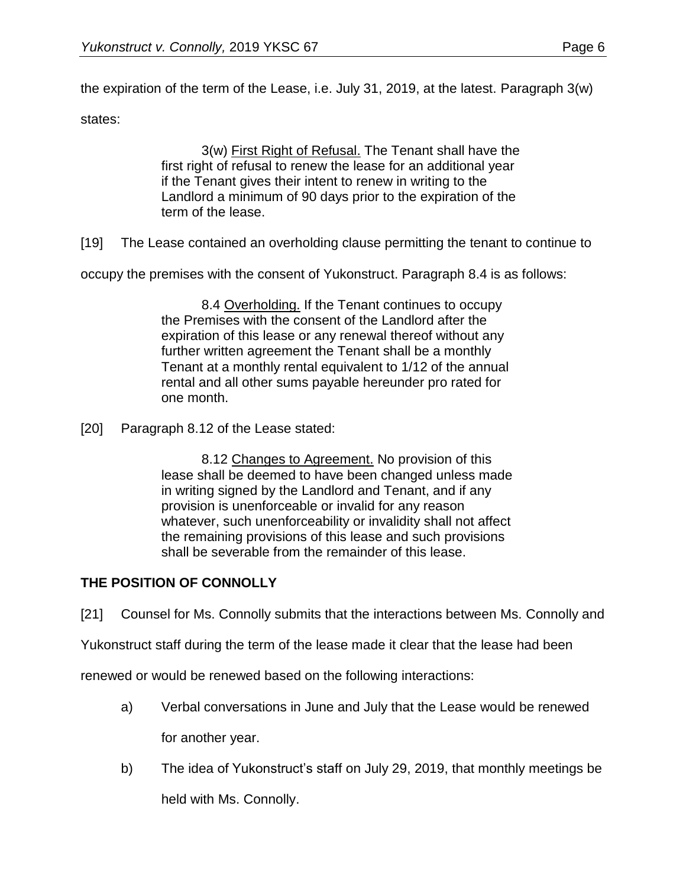the expiration of the term of the Lease, i.e. July 31, 2019, at the latest. Paragraph 3(w)

states:

3(w) First Right of Refusal. The Tenant shall have the first right of refusal to renew the lease for an additional year if the Tenant gives their intent to renew in writing to the Landlord a minimum of 90 days prior to the expiration of the term of the lease.

[19] The Lease contained an overholding clause permitting the tenant to continue to

occupy the premises with the consent of Yukonstruct. Paragraph 8.4 is as follows:

8.4 Overholding. If the Tenant continues to occupy the Premises with the consent of the Landlord after the expiration of this lease or any renewal thereof without any further written agreement the Tenant shall be a monthly Tenant at a monthly rental equivalent to 1/12 of the annual rental and all other sums payable hereunder pro rated for one month.

[20] Paragraph 8.12 of the Lease stated:

8.12 Changes to Agreement. No provision of this lease shall be deemed to have been changed unless made in writing signed by the Landlord and Tenant, and if any provision is unenforceable or invalid for any reason whatever, such unenforceability or invalidity shall not affect the remaining provisions of this lease and such provisions shall be severable from the remainder of this lease.

## **THE POSITION OF CONNOLLY**

[21] Counsel for Ms. Connolly submits that the interactions between Ms. Connolly and

Yukonstruct staff during the term of the lease made it clear that the lease had been

renewed or would be renewed based on the following interactions:

- a) Verbal conversations in June and July that the Lease would be renewed for another year.
- b) The idea of Yukonstruct's staff on July 29, 2019, that monthly meetings be held with Ms. Connolly.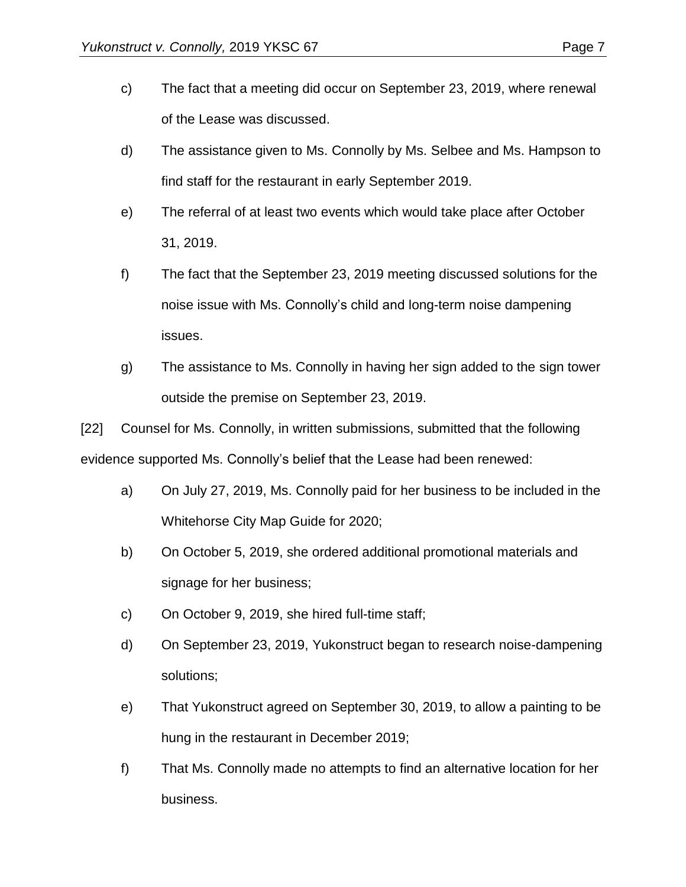- c) The fact that a meeting did occur on September 23, 2019, where renewal of the Lease was discussed.
- d) The assistance given to Ms. Connolly by Ms. Selbee and Ms. Hampson to find staff for the restaurant in early September 2019.
- e) The referral of at least two events which would take place after October 31, 2019.
- f) The fact that the September 23, 2019 meeting discussed solutions for the noise issue with Ms. Connolly's child and long-term noise dampening issues.
- g) The assistance to Ms. Connolly in having her sign added to the sign tower outside the premise on September 23, 2019.

[22] Counsel for Ms. Connolly, in written submissions, submitted that the following evidence supported Ms. Connolly's belief that the Lease had been renewed:

- a) On July 27, 2019, Ms. Connolly paid for her business to be included in the Whitehorse City Map Guide for 2020;
- b) On October 5, 2019, she ordered additional promotional materials and signage for her business;
- c) On October 9, 2019, she hired full-time staff;
- d) On September 23, 2019, Yukonstruct began to research noise-dampening solutions;
- e) That Yukonstruct agreed on September 30, 2019, to allow a painting to be hung in the restaurant in December 2019;
- f) That Ms. Connolly made no attempts to find an alternative location for her business.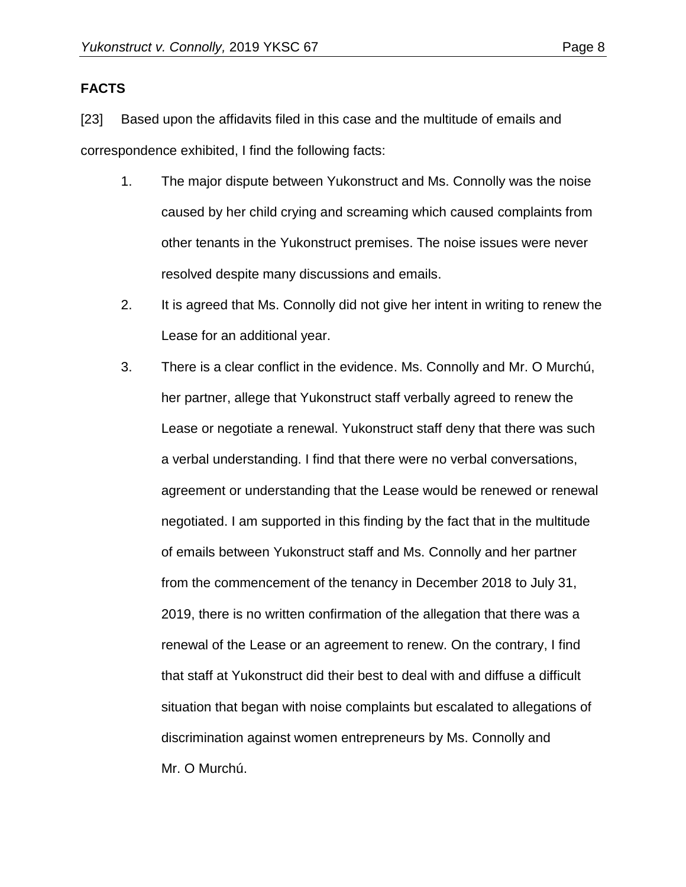### **FACTS**

[23] Based upon the affidavits filed in this case and the multitude of emails and correspondence exhibited, I find the following facts:

- 1. The major dispute between Yukonstruct and Ms. Connolly was the noise caused by her child crying and screaming which caused complaints from other tenants in the Yukonstruct premises. The noise issues were never resolved despite many discussions and emails.
- 2. It is agreed that Ms. Connolly did not give her intent in writing to renew the Lease for an additional year.
- 3. There is a clear conflict in the evidence. Ms. Connolly and Mr. O Murchú, her partner, allege that Yukonstruct staff verbally agreed to renew the Lease or negotiate a renewal. Yukonstruct staff deny that there was such a verbal understanding. I find that there were no verbal conversations, agreement or understanding that the Lease would be renewed or renewal negotiated. I am supported in this finding by the fact that in the multitude of emails between Yukonstruct staff and Ms. Connolly and her partner from the commencement of the tenancy in December 2018 to July 31, 2019, there is no written confirmation of the allegation that there was a renewal of the Lease or an agreement to renew. On the contrary, I find that staff at Yukonstruct did their best to deal with and diffuse a difficult situation that began with noise complaints but escalated to allegations of discrimination against women entrepreneurs by Ms. Connolly and Mr. O Murchú.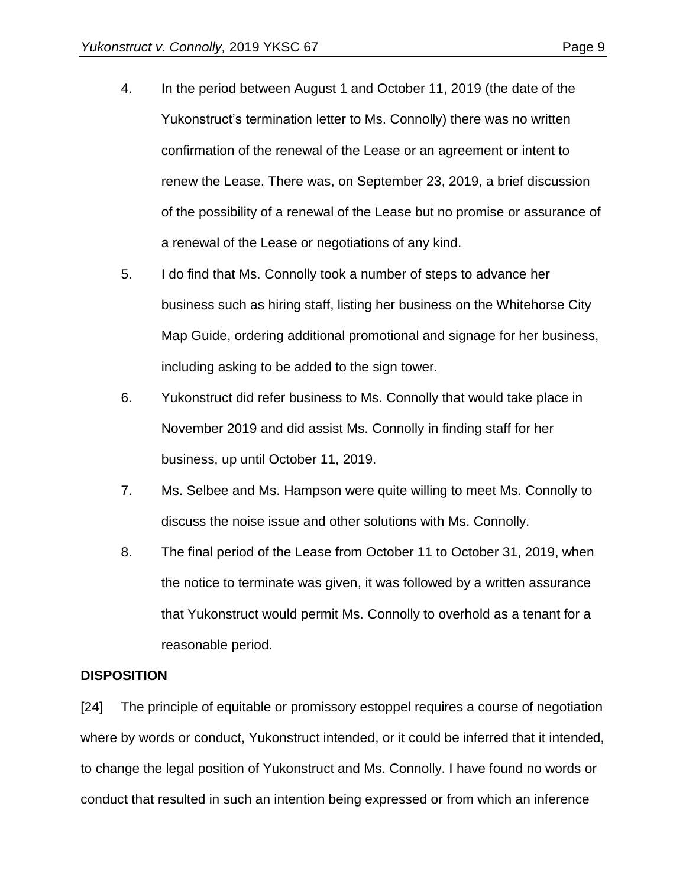- 4. In the period between August 1 and October 11, 2019 (the date of the Yukonstruct's termination letter to Ms. Connolly) there was no written confirmation of the renewal of the Lease or an agreement or intent to renew the Lease. There was, on September 23, 2019, a brief discussion of the possibility of a renewal of the Lease but no promise or assurance of a renewal of the Lease or negotiations of any kind.
- 5. I do find that Ms. Connolly took a number of steps to advance her business such as hiring staff, listing her business on the Whitehorse City Map Guide, ordering additional promotional and signage for her business, including asking to be added to the sign tower.
- 6. Yukonstruct did refer business to Ms. Connolly that would take place in November 2019 and did assist Ms. Connolly in finding staff for her business, up until October 11, 2019.
- 7. Ms. Selbee and Ms. Hampson were quite willing to meet Ms. Connolly to discuss the noise issue and other solutions with Ms. Connolly.
- 8. The final period of the Lease from October 11 to October 31, 2019, when the notice to terminate was given, it was followed by a written assurance that Yukonstruct would permit Ms. Connolly to overhold as a tenant for a reasonable period.

## **DISPOSITION**

[24] The principle of equitable or promissory estoppel requires a course of negotiation where by words or conduct, Yukonstruct intended, or it could be inferred that it intended, to change the legal position of Yukonstruct and Ms. Connolly. I have found no words or conduct that resulted in such an intention being expressed or from which an inference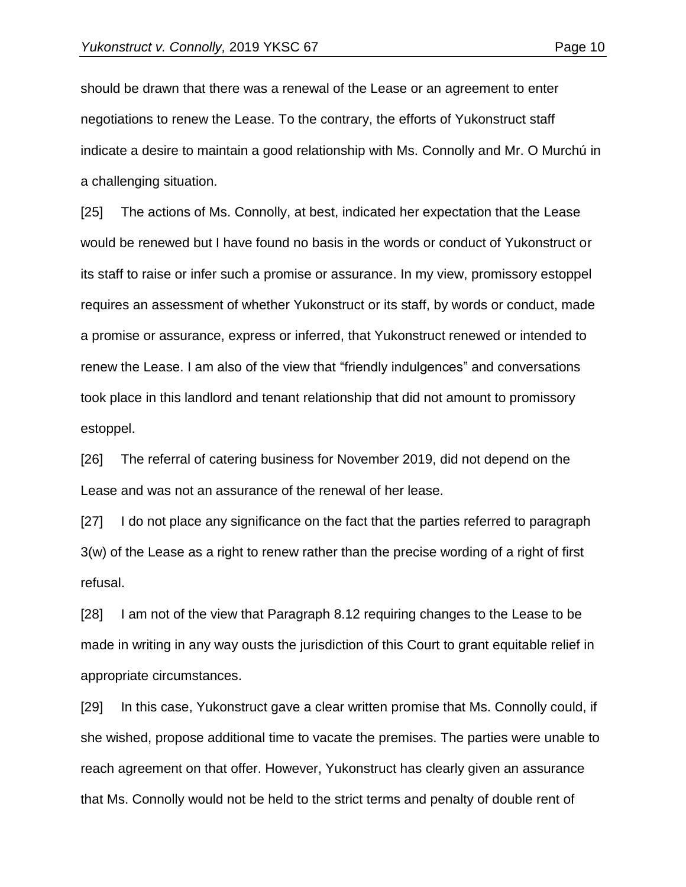should be drawn that there was a renewal of the Lease or an agreement to enter negotiations to renew the Lease. To the contrary, the efforts of Yukonstruct staff indicate a desire to maintain a good relationship with Ms. Connolly and Mr. O Murchú in a challenging situation.

[25] The actions of Ms. Connolly, at best, indicated her expectation that the Lease would be renewed but I have found no basis in the words or conduct of Yukonstruct or its staff to raise or infer such a promise or assurance. In my view, promissory estoppel requires an assessment of whether Yukonstruct or its staff, by words or conduct, made a promise or assurance, express or inferred, that Yukonstruct renewed or intended to renew the Lease. I am also of the view that "friendly indulgences" and conversations took place in this landlord and tenant relationship that did not amount to promissory estoppel.

[26] The referral of catering business for November 2019, did not depend on the Lease and was not an assurance of the renewal of her lease.

[27] I do not place any significance on the fact that the parties referred to paragraph 3(w) of the Lease as a right to renew rather than the precise wording of a right of first refusal.

[28] I am not of the view that Paragraph 8.12 requiring changes to the Lease to be made in writing in any way ousts the jurisdiction of this Court to grant equitable relief in appropriate circumstances.

[29] In this case, Yukonstruct gave a clear written promise that Ms. Connolly could, if she wished, propose additional time to vacate the premises. The parties were unable to reach agreement on that offer. However, Yukonstruct has clearly given an assurance that Ms. Connolly would not be held to the strict terms and penalty of double rent of